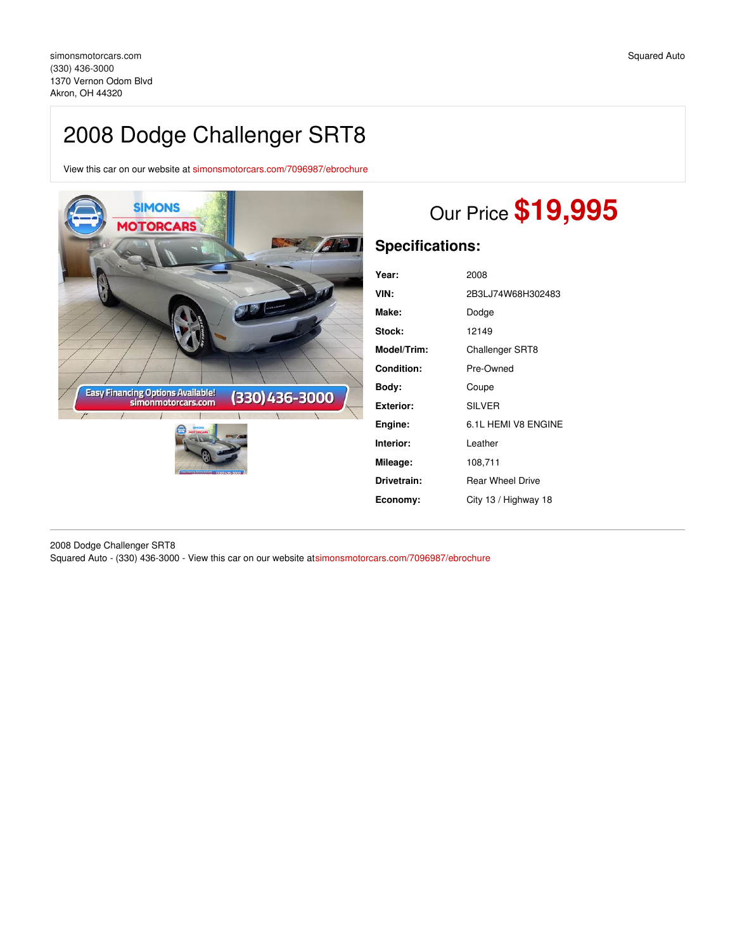# 2008 Dodge Challenger SRT8

View this car on our website at [simonsmotorcars.com/7096987/ebrochure](https://simonsmotorcars.com/vehicle/7096987/2008-dodge-challenger-srt8-akron-oh-44320/7096987/ebrochure)



# Our Price **\$19,995**

# **Specifications:**

| Year:       | 2008                    |
|-------------|-------------------------|
| VIN:        | 2B3LJ74W68H302483       |
| Make:       | Dodge                   |
| Stock:      | 12149                   |
| Model/Trim: | <b>Challenger SRT8</b>  |
| Condition:  | Pre-Owned               |
| Bodv:       | Coupe                   |
| Exterior:   | <b>SILVER</b>           |
| Engine:     | 6.1L HEMI V8 ENGINE     |
| Interior:   | Leather                 |
| Mileage:    | 108,711                 |
| Drivetrain: | <b>Rear Wheel Drive</b> |
| Economy:    | City 13 / Highway 18    |

2008 Dodge Challenger SRT8 Squared Auto - (330) 436-3000 - View this car on our website a[tsimonsmotorcars.com/7096987/ebrochure](https://simonsmotorcars.com/vehicle/7096987/2008-dodge-challenger-srt8-akron-oh-44320/7096987/ebrochure)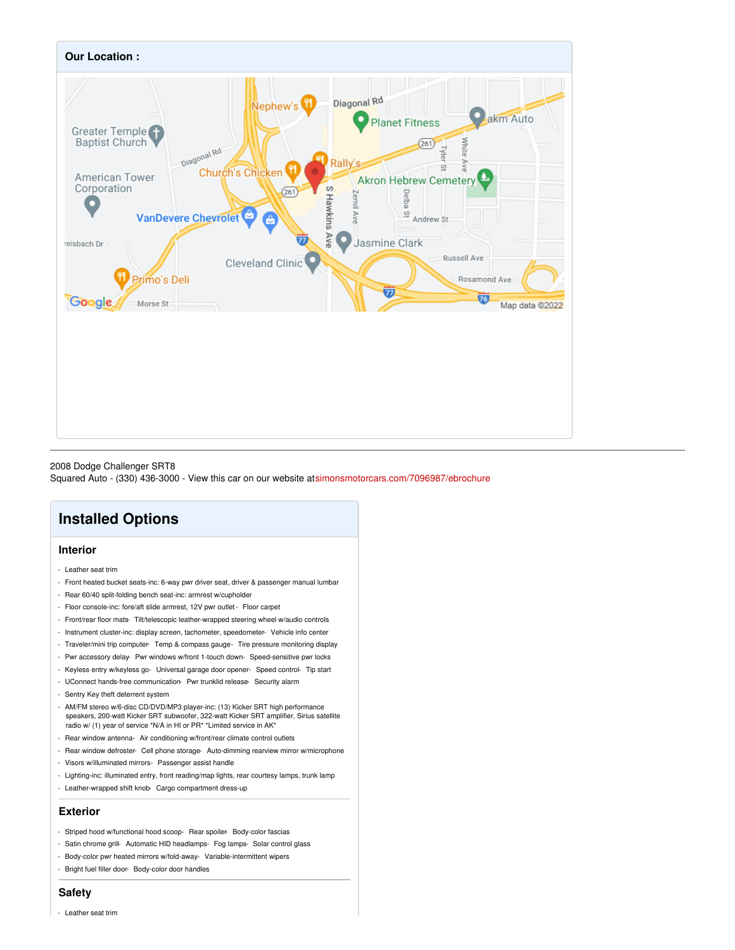

#### 2008 Dodge Challenger SRT8

Squared Auto - (330) 436-3000 - View this car on our website a[tsimonsmotorcars.com/7096987/ebrochure](https://simonsmotorcars.com/vehicle/7096987/2008-dodge-challenger-srt8-akron-oh-44320/7096987/ebrochure)

## **Installed Options**

### **Interior**

- Leather seat trim
- Front heated bucket seats-inc: 6-way pwr driver seat, driver & passenger manual lumbar
- Rear 60/40 split-folding bench seat-inc: armrest w/cupholder
- Floor console-inc: fore/aft slide armrest, 12V pwr outlet- Floor carpet
- Front/rear floor mats- Tilt/telescopic leather-wrapped steering wheel w/audio controls
- Instrument cluster-inc: display screen, tachometer, speedometer- Vehicle info center
- Traveler/mini trip computer- Temp & compass gauge- Tire pressure monitoring display
- Pwr accessory delay- Pwr windows w/front 1-touch down- Speed-sensitive pwr locks
- Keyless entry w/keyless go- Universal garage door opener- Speed control- Tip start
- UConnect hands-free communication- Pwr trunklid release- Security alarm
- Sentry Key theft deterrent system
- AM/FM stereo w/6-disc CD/DVD/MP3 player-inc: (13) Kicker SRT high performance speakers, 200-watt Kicker SRT subwoofer, 322-watt Kicker SRT amplifier, Sirius satellite radio w/ (1) year of service \*N/A in HI or PR\* \*Limited service in AK\*
- Rear window antenna- Air conditioning w/front/rear climate control outlets
- Rear window defroster- Cell phone storage- Auto-dimming rearview mirror w/microphone
- Visors w/illuminated mirrors- Passenger assist handle
- Lighting-inc: illuminated entry, front reading/map lights, rear courtesy lamps, trunk lamp
- Leather-wrapped shift knob- Cargo compartment dress-up

#### **Exterior**

- Striped hood w/functional hood scoop- Rear spoiler- Body-color fascias
- Satin chrome grill- Automatic HID headlamps- Fog lamps- Solar control glass
- Body-color pwr heated mirrors w/fold-away- Variable-intermittent wipers
- Bright fuel filler door- Body-color door handles

#### **Safety**

- Leather seat trim